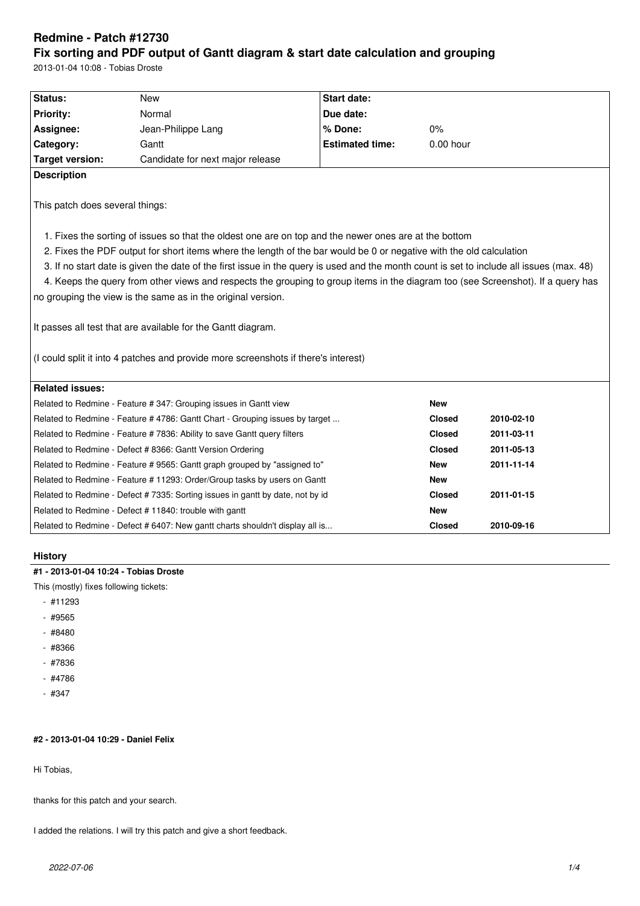# **Redmine - Patch #12730 Fix sorting and PDF output of Gantt diagram & start date calculation and grouping**

2013-01-04 10:08 - Tobias Droste

| Status:                         | <b>New</b>                                                                                                                                                                                                                                                                                                                                                               | Start date:            |               |            |
|---------------------------------|--------------------------------------------------------------------------------------------------------------------------------------------------------------------------------------------------------------------------------------------------------------------------------------------------------------------------------------------------------------------------|------------------------|---------------|------------|
| <b>Priority:</b>                | Normal                                                                                                                                                                                                                                                                                                                                                                   | Due date:              |               |            |
| Assignee:                       | Jean-Philippe Lang                                                                                                                                                                                                                                                                                                                                                       | % Done:                | 0%            |            |
| Category:                       | Gantt                                                                                                                                                                                                                                                                                                                                                                    | <b>Estimated time:</b> | $0.00$ hour   |            |
| <b>Target version:</b>          | Candidate for next major release                                                                                                                                                                                                                                                                                                                                         |                        |               |            |
| <b>Description</b>              |                                                                                                                                                                                                                                                                                                                                                                          |                        |               |            |
| This patch does several things: |                                                                                                                                                                                                                                                                                                                                                                          |                        |               |            |
|                                 | 1. Fixes the sorting of issues so that the oldest one are on top and the newer ones are at the bottom<br>2. Fixes the PDF output for short items where the length of the bar would be 0 or negative with the old calculation<br>3. If no start date is given the date of the first issue in the query is used and the month count is set to include all issues (max. 48) |                        |               |            |
|                                 | 4. Keeps the query from other views and respects the grouping to group items in the diagram too (see Screenshot). If a query has                                                                                                                                                                                                                                         |                        |               |            |
|                                 | no grouping the view is the same as in the original version.                                                                                                                                                                                                                                                                                                             |                        |               |            |
|                                 |                                                                                                                                                                                                                                                                                                                                                                          |                        |               |            |
|                                 | It passes all test that are available for the Gantt diagram.                                                                                                                                                                                                                                                                                                             |                        |               |            |
|                                 |                                                                                                                                                                                                                                                                                                                                                                          |                        |               |            |
|                                 | (I could split it into 4 patches and provide more screenshots if there's interest)                                                                                                                                                                                                                                                                                       |                        |               |            |
|                                 |                                                                                                                                                                                                                                                                                                                                                                          |                        |               |            |
| <b>Related issues:</b>          |                                                                                                                                                                                                                                                                                                                                                                          |                        |               |            |
|                                 | Related to Redmine - Feature # 347: Grouping issues in Gantt view                                                                                                                                                                                                                                                                                                        |                        | <b>New</b>    |            |
|                                 | Related to Redmine - Feature # 4786: Gantt Chart - Grouping issues by target                                                                                                                                                                                                                                                                                             |                        | Closed        | 2010-02-10 |
|                                 | Related to Redmine - Feature # 7836: Ability to save Gantt query filters                                                                                                                                                                                                                                                                                                 |                        | <b>Closed</b> | 2011-03-11 |
|                                 | Related to Redmine - Defect # 8366: Gantt Version Ordering                                                                                                                                                                                                                                                                                                               |                        | Closed        | 2011-05-13 |
|                                 | Related to Redmine - Feature #9565: Gantt graph grouped by "assigned to"                                                                                                                                                                                                                                                                                                 |                        | <b>New</b>    | 2011-11-14 |
|                                 | Related to Redmine - Feature # 11293: Order/Group tasks by users on Gantt                                                                                                                                                                                                                                                                                                |                        | <b>New</b>    |            |
|                                 | Related to Redmine - Defect # 7335: Sorting issues in gantt by date, not by id                                                                                                                                                                                                                                                                                           |                        | <b>Closed</b> | 2011-01-15 |
|                                 | Related to Redmine - Defect # 11840: trouble with gantt                                                                                                                                                                                                                                                                                                                  |                        | <b>New</b>    |            |
|                                 | Related to Redmine - Defect # 6407: New gantt charts shouldn't display all is                                                                                                                                                                                                                                                                                            |                        | <b>Closed</b> | 2010-09-16 |

## **History**

# **#1 - 2013-01-04 10:24 - Tobias Droste**

This (mostly) fixes following tickets:

- #11293
- #9565
- #8480
- #8366
- #7836
- #4786
- #347

# **#2 - 2013-01-04 10:29 - Daniel Felix**

Hi Tobias,

thanks for this patch and your search.

I added the relations. I will try this patch and give a short feedback.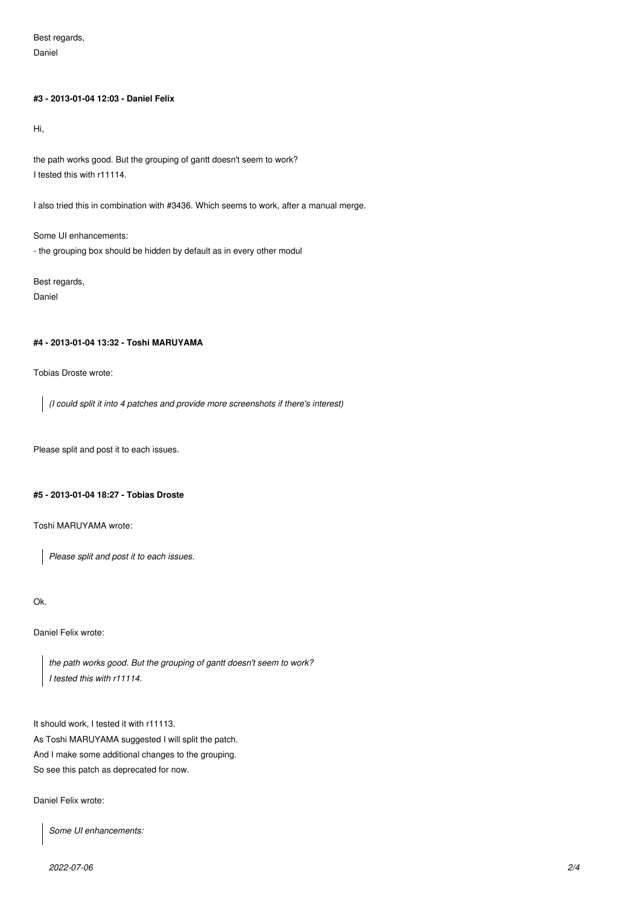Best regards, Daniel

### **#3 - 2013-01-04 12:03 - Daniel Felix**

Hi,

the path works good. But the grouping of gantt doesn't seem to work? I tested this with r11114.

I also tried this in combination with #3436. Which seems to work, after a manual merge.

Some UI enhancements: - the grouping box should be hidden by default as in every other modul

Best regards, Daniel

### **#4 - 2013-01-04 13:32 - Toshi MARUYAMA**

Tobias Droste wrote:

*(I could split it into 4 patches and provide more screenshots if there's interest)*

Please split and post it to each issues.

### **#5 - 2013-01-04 18:27 - Tobias Droste**

Toshi MARUYAMA wrote:

*Please split and post it to each issues.*

Ok.

Daniel Felix wrote:

*the path works good. But the grouping of gantt doesn't seem to work? I tested this with r11114.*

It should work, I tested it with r11113. As Toshi MARUYAMA suggested I will split the patch. And I make some additional changes to the grouping. So see this patch as deprecated for now.

Daniel Felix wrote:

*Some UI enhancements:*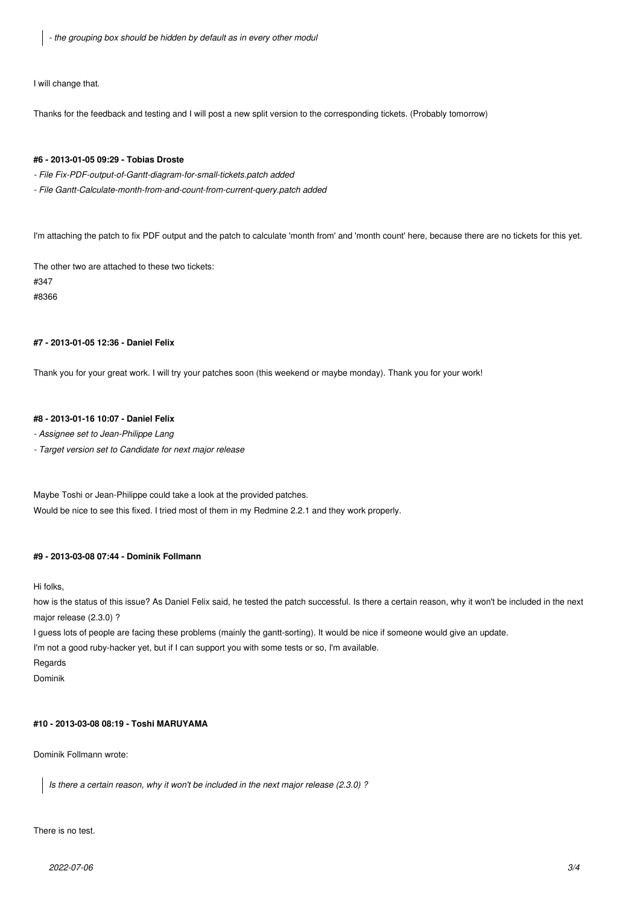*- the grouping box should be hidden by default as in every other modul*

I will change that.

Thanks for the feedback and testing and I will post a new split version to the corresponding tickets. (Probably tomorrow)

#### **#6 - 2013-01-05 09:29 - Tobias Droste**

- *File Fix-PDF-output-of-Gantt-diagram-for-small-tickets.patch added*
- *File Gantt-Calculate-month-from-and-count-from-current-query.patch added*

I'm attaching the patch to fix PDF output and the patch to calculate 'month from' and 'month count' here, because there are no tickets for this yet.

The other two are attached to these two tickets:

#347

#8366

### **#7 - 2013-01-05 12:36 - Daniel Felix**

Thank you for your great work. I will try your patches soon (this weekend or maybe monday). Thank you for your work!

### **#8 - 2013-01-16 10:07 - Daniel Felix**

*- Assignee set to Jean-Philippe Lang*

*- Target version set to Candidate for next major release*

Maybe Toshi or Jean-Philippe could take a look at the provided patches. Would be nice to see this fixed. I tried most of them in my Redmine 2.2.1 and they work properly.

#### **#9 - 2013-03-08 07:44 - Dominik Follmann**

Hi folks,

how is the status of this issue? As Daniel Felix said, he tested the patch successful. Is there a certain reason, why it won't be included in the next major release (2.3.0) ?

I guess lots of people are facing these problems (mainly the gantt-sorting). It would be nice if someone would give an update.

I'm not a good ruby-hacker yet, but if I can support you with some tests or so, I'm available.

Regards

Dominik

# **#10 - 2013-03-08 08:19 - Toshi MARUYAMA**

Dominik Follmann wrote:

*Is there a certain reason, why it won't be included in the next major release (2.3.0) ?*

There is no test.